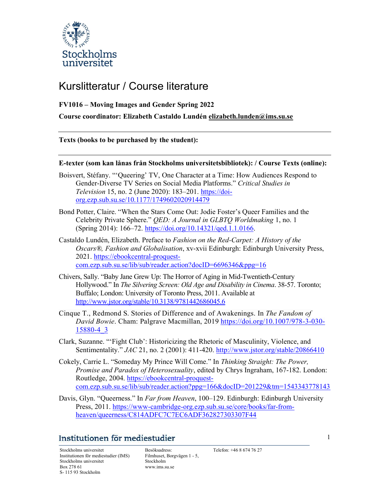

# Kurslitteratur / Course literature

## FV1016 – Moving Images and Gender Spring 2022

Course coordinator: Elizabeth Castaldo Lundén elizabeth.lunden@ims.su.se

Texts (books to be purchased by the student):

### E-texter (som kan lånas från Stockholms universitetsbibliotek): / Course Texts (online):

- Boisvert, Stéfany. "'Queering' TV, One Character at a Time: How Audiences Respond to Gender-Diverse TV Series on Social Media Platforms." Critical Studies in Television 15, no. 2 (June 2020): 183–201. https://doiorg.ezp.sub.su.se/10.1177/1749602020914479
- Bond Potter, Claire. "When the Stars Come Out: Jodie Foster's Queer Families and the Celebrity Private Sphere." QED: A Journal in GLBTQ Worldmaking 1, no. 1 (Spring 2014): 166–72. https://doi.org/10.14321/qed.1.1.0166.
- Castaldo Lundén, Elizabeth. Preface to Fashion on the Red-Carpet: A History of the Oscars®, Fashion and Globalisation, xv-xvii Edinburgh: Edinburgh University Press, 2021. https://ebookcentral-proquestcom.ezp.sub.su.se/lib/sub/reader.action?docID=6696346&ppg=16
- Chivers, Sally. "Baby Jane Grew Up: The Horror of Aging in Mid-Twentieth-Century Hollywood." In The Silvering Screen: Old Age and Disability in Cinema. 38-57. Toronto; Buffalo; London: University of Toronto Press, 2011. Available at http://www.jstor.org/stable/10.3138/9781442686045.6
- Cinque T., Redmond S. Stories of Difference and of Awakenings. In The Fandom of David Bowie. Cham: Palgrave Macmillan, 2019 https://doi.org/10.1007/978-3-030-15880-4\_3
- Clark, Suzanne. "'Fight Club': Historicizing the Rhetoric of Masculinity, Violence, and Sentimentality." JAC 21, no. 2 (2001): 411-420. http://www.jstor.org/stable/20866410
- Cokely, Carrie L. "Someday My Prince Will Come." In Thinking Straight: The Power, Promise and Paradox of Heterosexuality, edited by Chrys Ingraham, 167-182. London: Routledge, 2004. https://ebookcentral-proquestcom.ezp.sub.su.se/lib/sub/reader.action?ppg=166&docID=201229&tm=1543343778143
- Davis, Glyn. "Queerness." In Far from Heaven, 100–129. Edinburgh: Edinburgh University Press, 2011. https://www-cambridge-org.ezp.sub.su.se/core/books/far-fromheaven/queerness/C814ADFC7C7EC6ADF362827303307F44

# Institutionen för mediestudier

Stockholms universitet Besöksadress: Telefon: +46 8 674 76 27 Institutionen för mediestudier (IMS) Stockholms universitet Box 278 61 S- 115 93 Stockholm

Filmhuset, Borgvägen 1 - 5, Stockholm www.ims.su.se

1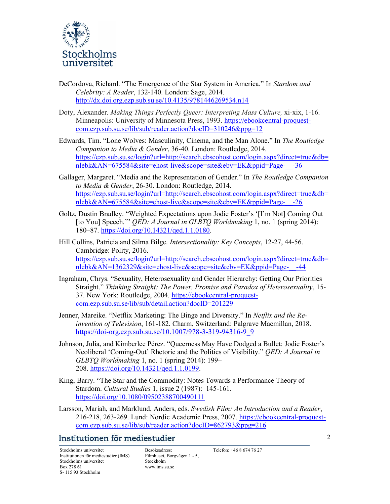

- DeCordova, Richard. "The Emergence of the Star System in America." In Stardom and Celebrity: A Reader, 132-140. London: Sage, 2014. http://dx.doi.org.ezp.sub.su.se/10.4135/9781446269534.n14
- Doty, Alexander. Making Things Perfectly Queer: Interpreting Mass Culture, xi-xix, 1-16. Minneapolis: University of Minnesota Press, 1993. https://ebookcentral-proquestcom.ezp.sub.su.se/lib/sub/reader.action?docID=310246&ppg=12
- Edwards, Tim. "Lone Wolves: Masculinity, Cinema, and the Man Alone." In The Routledge Companion to Media & Gender, 36-40. London: Routledge, 2014. https://ezp.sub.su.se/login?url=http://search.ebscohost.com/login.aspx?direct=true&db= nlebk&AN=675584&site=ehost-live&scope=site&ebv=EK&ppid=Page-\_\_-36
- Gallager, Margaret. "Media and the Representation of Gender." In The Routledge Companion to Media & Gender, 26-30. London: Routledge, 2014. https://ezp.sub.su.se/login?url=http://search.ebscohost.com/login.aspx?direct=true&db= nlebk&AN=675584&site=ehost-live&scope=site&ebv=EK&ppid=Page-\_\_-26
- Goltz, Dustin Bradley. "Weighted Expectations upon Jodie Foster's '[I'm Not] Coming Out [to You] Speech." *QED: A Journal in GLBTQ Worldmaking* 1, no. 1 (spring 2014): 180–87. https://doi.org/10.14321/qed.1.1.0180.

Hill Collins, Patricia and Silma Bilge. Intersectionality: Key Concepts, 12-27, 44-56. Cambridge: Polity, 2016. https://ezp.sub.su.se/login?url=http://search.ebscohost.com/login.aspx?direct=true&db= nlebk&AN=1362329&site=ehost-live&scope=site&ebv=EK&ppid=Page-\_\_-44

- Ingraham, Chrys. "Sexuality, Heterosexuality and Gender Hierarchy: Getting Our Priorities Straight." Thinking Straight: The Power, Promise and Paradox of Heterosexuality, 15- 37. New York: Routledge, 2004. https://ebookcentral-proquestcom.ezp.sub.su.se/lib/sub/detail.action?docID=201229
- Jenner, Mareike. "Netflix Marketing: The Binge and Diversity." In Netflix and the Reinvention of Television, 161-182. Charm, Switzerland: Palgrave Macmillan, 2018. https://doi-org.ezp.sub.su.se/10.1007/978-3-319-94316-9\_9
- Johnson, Julia, and Kimberlee Pérez. "Queerness May Have Dodged a Bullet: Jodie Foster's Neoliberal 'Coming-Out' Rhetoric and the Politics of Visibility." QED: A Journal in GLBTQ Worldmaking 1, no. 1 (spring 2014): 199– 208. https://doi.org/10.14321/qed.1.1.0199.
- King, Barry. "The Star and the Commodity: Notes Towards a Performance Theory of Stardom. Cultural Studies 1, issue 2 (1987): 145-161. https://doi.org/10.1080/09502388700490111
- Larsson, Mariah, and Marklund, Anders, eds. Swedish Film: An Introduction and a Reader, 216-218, 263-269. Lund: Nordic Academic Press, 2007. https://ebookcentral-proquestcom.ezp.sub.su.se/lib/sub/reader.action?docID=862793&ppg=216

# Institutionen för mediestudier

Stockholms universitet Besöksadress: Telefon: +46 8 674 76 27 Institutionen för mediestudier (IMS) Stockholms universitet Box 278 61 S- 115 93 Stockholm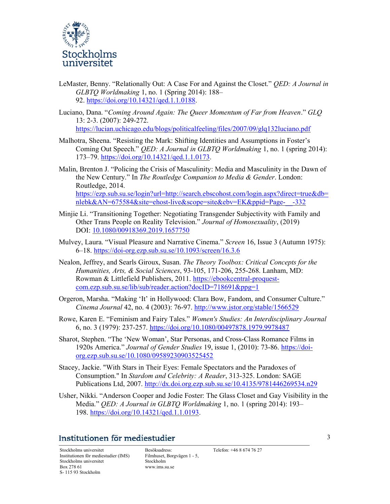

- LeMaster, Benny. "Relationally Out: A Case For and Against the Closet." QED: A Journal in GLBTQ Worldmaking 1, no. 1 (Spring 2014): 188– 92. https://doi.org/10.14321/qed.1.1.0188.
- Luciano, Dana. "Coming Around Again: The Queer Momentum of Far from Heaven." GLQ 13: 2-3. (2007): 249-272. https://lucian.uchicago.edu/blogs/politicalfeeling/files/2007/09/glq132luciano.pdf
- Malhotra, Sheena. "Resisting the Mark: Shifting Identities and Assumptions in Foster's Coming Out Speech." *OED: A Journal in GLBTO Worldmaking* 1, no. 1 (spring 2014): 173–79. https://doi.org/10.14321/qed.1.1.0173.
- Malin, Brenton J. "Policing the Crisis of Masculinity: Media and Masculinity in the Dawn of the New Century." In The Routledge Companion to Media & Gender. London: Routledge, 2014. https://ezp.sub.su.se/login?url=http://search.ebscohost.com/login.aspx?direct=true&db= nlebk&AN=675584&site=ehost-live&scope=site&ebv=EK&ppid=Page-\_\_-332
- Minjie Li. "Transitioning Together: Negotiating Transgender Subjectivity with Family and Other Trans People on Reality Television." Journal of Homosexuality, (2019) DOI: 10.1080/00918369.2019.1657750
- Mulvey, Laura. "Visual Pleasure and Narrative Cinema." Screen 16, Issue 3 (Autumn 1975): 6–18. https://doi-org.ezp.sub.su.se/10.1093/screen/16.3.6
- Nealon, Jeffrey, and Searls Giroux, Susan. The Theory Toolbox: Critical Concepts for the Humanities, Arts, & Social Sciences, 93-105, 171-206, 255-268. Lanham, MD: Rowman & Littlefield Publishers, 2011. https://ebookcentral-proquestcom.ezp.sub.su.se/lib/sub/reader.action?docID=718691&ppg=1
- Orgeron, Marsha. "Making 'It' in Hollywood: Clara Bow, Fandom, and Consumer Culture." Cinema Journal 42, no. 4 (2003): 76-97. http://www.jstor.org/stable/1566529
- Rowe, Karen E. "Feminism and Fairy Tales." Women's Studies: An Interdisciplinary Journal 6, no. 3 (1979): 237-257. https://doi.org/10.1080/00497878.1979.9978487
- Sharot, Stephen. "The 'New Woman', Star Personas, and Cross-Class Romance Films in 1920s America." Journal of Gender Studies 19, issue 1, (2010): 73-86. https://doiorg.ezp.sub.su.se/10.1080/09589230903525452
- Stacey, Jackie. "With Stars in Their Eyes: Female Spectators and the Paradoxes of Consumption." In Stardom and Celebrity: A Reader, 313-325. London: SAGE Publications Ltd, 2007. http://dx.doi.org.ezp.sub.su.se/10.4135/9781446269534.n29
- Usher, Nikki. "Anderson Cooper and Jodie Foster: The Glass Closet and Gay Visibility in the Media." QED: A Journal in GLBTQ Worldmaking 1, no. 1 (spring 2014): 193– 198. https://doi.org/10.14321/qed.1.1.0193.

## Institutionen för mediestudier

Stockholms universitet Besöksadress: Telefon: +46 8 674 76 27 Institutionen för mediestudier (IMS) Stockholms universitet Box 278 61 S- 115 93 Stockholm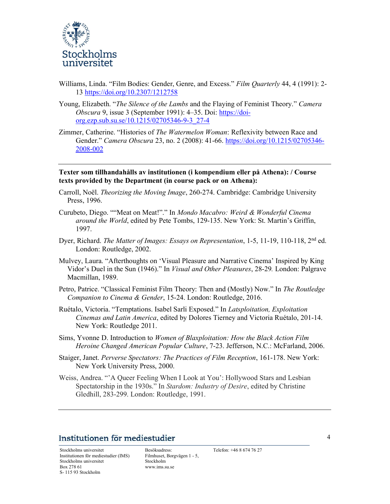

- Williams, Linda. "Film Bodies: Gender, Genre, and Excess." Film Quarterly 44, 4 (1991): 2-13 https://doi.org/10.2307/1212758
- Young, Elizabeth. "*The Silence of the Lambs* and the Flaying of Feminist Theory." *Camera* Obscura 9, issue 3 (September 1991): 4–35. Doi: https://doiorg.ezp.sub.su.se/10.1215/02705346-9-3\_27-4
- Zimmer, Catherine. "Histories of The Watermelon Woman: Reflexivity between Race and Gender." Camera Obscura 23, no. 2 (2008): 41-66. https://doi.org/10.1215/02705346- 2008-002

Texter som tillhandahålls av institutionen (i kompendium eller på Athena): / Course texts provided by the Department (in course pack or on Athena):

- Carroll, Noël. Theorizing the Moving Image, 260-274. Cambridge: Cambridge University Press, 1996.
- Curubeto, Diego. ""Meat on Meat!"." In Mondo Macabro: Weird & Wonderful Cinema around the World, edited by Pete Tombs, 129-135. New York: St. Martin's Griffin, 1997.
- Dyer, Richard. The Matter of Images: Essays on Representation, 1-5, 11-19, 110-118, 2<sup>nd</sup> ed. London: Routledge, 2002.
- Mulvey, Laura. "Afterthoughts on 'Visual Pleasure and Narrative Cinema' Inspired by King Vidor's Duel in the Sun (1946)." In Visual and Other Pleasures, 28-29. London: Palgrave Macmillan, 1989.
- Petro, Patrice. "Classical Feminist Film Theory: Then and (Mostly) Now." In The Routledge Companion to Cinema & Gender, 15-24. London: Routledge, 2016.
- Ruétalo, Victoria. "Temptations. Isabel Sarli Exposed." In Latsploitation, Exploitation Cinemas and Latin America, edited by Dolores Tierney and Victoria Ruétalo, 201-14. New York: Routledge 2011.
- Sims, Yvonne D. Introduction to Women of Blaxploitation: How the Black Action Film Heroine Changed American Popular Culture, 7-23. Jefferson, N.C.: McFarland, 2006.
- Staiger, Janet. Perverse Spectators: The Practices of Film Reception, 161-178. New York: New York University Press, 2000.
- Weiss, Andrea. "'A Queer Feeling When I Look at You': Hollywood Stars and Lesbian Spectatorship in the 1930s." In Stardom: Industry of Desire, edited by Christine Gledhill, 283-299. London: Routledge, 1991.

## Institutionen för mediestudier

Stockholms universitet Besöksadress: Telefon: +46 8 674 76 27 Institutionen för mediestudier (IMS) Stockholms universitet Box 278 61 S- 115 93 Stockholm